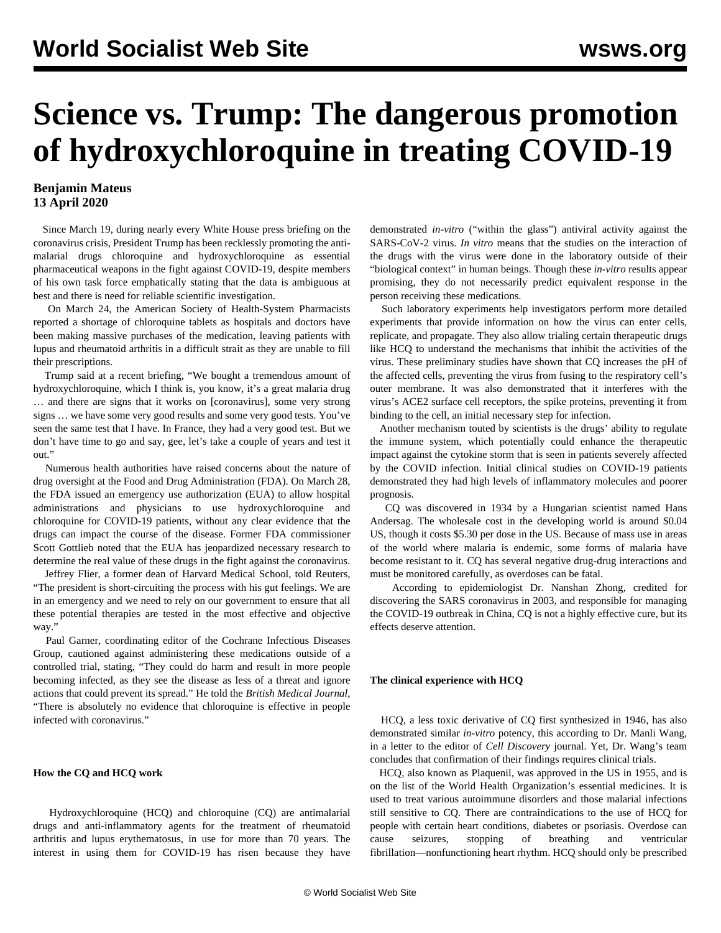# **Science vs. Trump: The dangerous promotion of hydroxychloroquine in treating COVID-19**

# **Benjamin Mateus 13 April 2020**

 Since March 19, during nearly every White House press briefing on the coronavirus crisis, President Trump has been recklessly promoting the antimalarial drugs chloroquine and hydroxychloroquine as essential pharmaceutical weapons in the fight against COVID-19, despite members of his own task force emphatically stating that the data is ambiguous at best and there is need for reliable scientific investigation.

 On March 24, the American Society of Health-System Pharmacists reported a shortage of chloroquine tablets as hospitals and doctors have been making massive purchases of the medication, leaving patients with lupus and rheumatoid arthritis in a difficult strait as they are unable to fill their prescriptions.

 Trump said at a recent briefing, "We bought a tremendous amount of hydroxychloroquine, which I think is, you know, it's a great malaria drug … and there are signs that it works on [coronavirus], some very strong signs … we have some very good results and some very good tests. You've seen the same test that I have. In France, they had a very good test. But we don't have time to go and say, gee, let's take a couple of years and test it out."

 Numerous health authorities have raised concerns about the nature of drug oversight at the Food and Drug Administration (FDA). On March 28, the FDA issued an emergency use authorization (EUA) to allow hospital administrations and physicians to use hydroxychloroquine and chloroquine for COVID-19 patients, without any clear evidence that the drugs can impact the course of the disease. Former FDA commissioner Scott Gottlieb noted that the EUA has jeopardized necessary research to determine the real value of these drugs in the fight against the coronavirus.

 Jeffrey Flier, a former dean of Harvard Medical School, told Reuters, "The president is short-circuiting the process with his gut feelings. We are in an emergency and we need to rely on our government to ensure that all these potential therapies are tested in the most effective and objective way."

 Paul Garner, coordinating editor of the Cochrane Infectious Diseases Group, cautioned against administering these medications outside of a controlled trial, stating, "They could do harm and result in more people becoming infected, as they see the disease as less of a threat and ignore actions that could prevent its spread." He told the *British Medical Journal*, "There is absolutely no evidence that chloroquine is effective in people infected with coronavirus."

### **How the CQ and HCQ work**

 Hydroxychloroquine (HCQ) and chloroquine (CQ) are antimalarial drugs and anti-inflammatory agents for the treatment of rheumatoid arthritis and lupus erythematosus, in use for more than 70 years. The interest in using them for COVID-19 has risen because they have

demonstrated *in-vitro* ("within the glass") antiviral activity against the SARS-CoV-2 virus. *In vitro* means that the studies on the interaction of the drugs with the virus were done in the laboratory outside of their "biological context" in human beings. Though these *in-vitro* results appear promising, they do not necessarily predict equivalent response in the person receiving these medications.

 Such laboratory experiments help investigators perform more detailed experiments that provide information on how the virus can enter cells, replicate, and propagate. They also allow trialing certain therapeutic drugs like HCQ to understand the mechanisms that inhibit the activities of the virus. These preliminary studies have shown that CQ increases the pH of the affected cells, preventing the virus from fusing to the respiratory cell's outer membrane. It was also demonstrated that it interferes with the virus's ACE2 surface cell receptors, the spike proteins, preventing it from binding to the cell, an initial necessary step for infection.

 Another mechanism touted by scientists is the drugs' ability to regulate the immune system, which potentially could enhance the therapeutic impact against the cytokine storm that is seen in patients severely affected by the COVID infection. Initial clinical studies on COVID-19 patients demonstrated they had high levels of inflammatory molecules and poorer prognosis.

 CQ was discovered in 1934 by a Hungarian scientist named Hans Andersag. The wholesale cost in the developing world is around \$0.04 US, though it costs \$5.30 per dose in the US. Because of mass use in areas of the world where malaria is endemic, some forms of malaria have become resistant to it. CQ has several negative drug-drug interactions and must be monitored carefully, as overdoses can be fatal.

 According to epidemiologist Dr. Nanshan Zhong, credited for discovering the SARS coronavirus in 2003, and responsible for managing the COVID-19 outbreak in China, CQ is not a highly effective cure, but its effects deserve attention.

## **The clinical experience with HCQ**

 HCQ, a less toxic derivative of CQ first synthesized in 1946, has also demonstrated similar *in-vitro* potency, this according to Dr. Manli Wang, in a letter to the editor of *Cell Discovery* journal. Yet, Dr. Wang's team concludes that confirmation of their findings requires clinical trials.

 HCQ, also known as Plaquenil, was approved in the US in 1955, and is on the list of the World Health Organization's essential medicines. It is used to treat various autoimmune disorders and those malarial infections still sensitive to CQ. There are contraindications to the use of HCQ for people with certain heart conditions, diabetes or psoriasis. Overdose can cause seizures, stopping of breathing and ventricular fibrillation—nonfunctioning heart rhythm. HCQ should only be prescribed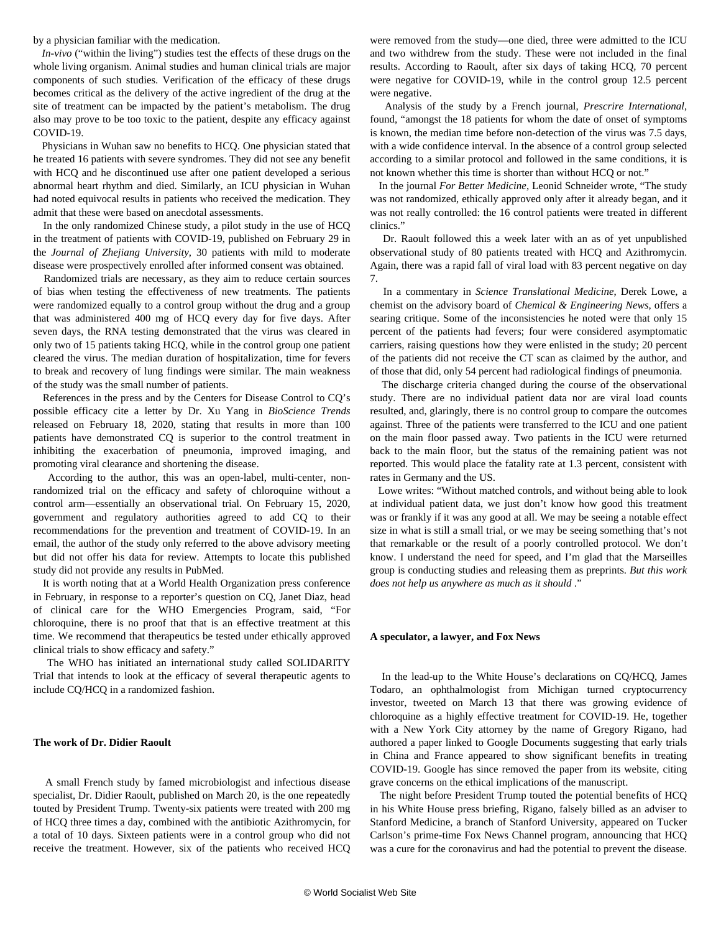by a physician familiar with the medication.

 *In-vivo* ("within the living") studies test the effects of these drugs on the whole living organism. Animal studies and human clinical trials are major components of such studies. Verification of the efficacy of these drugs becomes critical as the delivery of the active ingredient of the drug at the site of treatment can be impacted by the patient's metabolism. The drug also may prove to be too toxic to the patient, despite any efficacy against COVID-19.

 Physicians in Wuhan saw no benefits to HCQ. One physician stated that he treated 16 patients with severe syndromes. They did not see any benefit with HCQ and he discontinued use after one patient developed a serious abnormal heart rhythm and died. Similarly, an ICU physician in Wuhan had noted equivocal results in patients who received the medication. They admit that these were based on anecdotal assessments.

 In the only randomized Chinese study, a pilot study in the use of HCQ in the treatment of patients with COVID-19, published on February 29 in the *Journal of Zhejiang University*, 30 patients with mild to moderate disease were prospectively enrolled after informed consent was obtained.

 Randomized trials are necessary, as they aim to reduce certain sources of bias when testing the effectiveness of new treatments. The patients were randomized equally to a control group without the drug and a group that was administered 400 mg of HCQ every day for five days. After seven days, the RNA testing demonstrated that the virus was cleared in only two of 15 patients taking HCQ, while in the control group one patient cleared the virus. The median duration of hospitalization, time for fevers to break and recovery of lung findings were similar. The main weakness of the study was the small number of patients.

 References in the press and by the Centers for Disease Control to CQ's possible efficacy cite a letter by Dr. Xu Yang in *BioScience Trends* released on February 18, 2020, stating that results in more than 100 patients have demonstrated CQ is superior to the control treatment in inhibiting the exacerbation of pneumonia, improved imaging, and promoting viral clearance and shortening the disease.

 According to the author, this was an open-label, multi-center, nonrandomized trial on the efficacy and safety of chloroquine without a control arm—essentially an observational trial. On February 15, 2020, government and regulatory authorities agreed to add CQ to their recommendations for the prevention and treatment of COVID-19. In an email, the author of the study only referred to the above advisory meeting but did not offer his data for review. Attempts to locate this published study did not provide any results in PubMed.

 It is worth noting that at a World Health Organization press conference in February, in response to a reporter's question on CQ, Janet Diaz, head of clinical care for the WHO Emergencies Program, said, "For chloroquine, there is no proof that that is an effective treatment at this time. We recommend that therapeutics be tested under ethically approved clinical trials to show efficacy and safety."

 The WHO has initiated an international study called SOLIDARITY Trial that intends to look at the efficacy of several therapeutic agents to include CQ/HCQ in a randomized fashion.

#### **The work of Dr. Didier Raoult**

 A small French study by famed microbiologist and infectious disease specialist, Dr. Didier Raoult, published on March 20, is the one repeatedly touted by President Trump. Twenty-six patients were treated with 200 mg of HCQ three times a day, combined with the antibiotic Azithromycin, for a total of 10 days. Sixteen patients were in a control group who did not receive the treatment. However, six of the patients who received HCQ

were removed from the study—one died, three were admitted to the ICU and two withdrew from the study. These were not included in the final results. According to Raoult, after six days of taking HCQ, 70 percent were negative for COVID-19, while in the control group 12.5 percent were negative.

 Analysis of the study by a French journal, *Prescrire International*, found, "amongst the 18 patients for whom the date of onset of symptoms is known, the median time before non-detection of the virus was 7.5 days, with a wide confidence interval. In the absence of a control group selected according to a similar protocol and followed in the same conditions, it is not known whether this time is shorter than without HCQ or not."

 In the journal *For Better Medicine*, Leonid Schneider wrote, "The study was not randomized, ethically approved only after it already began, and it was not really controlled: the 16 control patients were treated in different clinics."

 Dr. Raoult followed this a week later with an as of yet unpublished observational study of 80 patients treated with HCQ and Azithromycin. Again, there was a rapid fall of viral load with 83 percent negative on day 7.

 In a commentary in *Science Translational Medicine*, Derek Lowe, a chemist on the advisory board of *Chemical & Engineering News*, offers a searing critique. Some of the inconsistencies he noted were that only 15 percent of the patients had fevers; four were considered asymptomatic carriers, raising questions how they were enlisted in the study; 20 percent of the patients did not receive the CT scan as claimed by the author, and of those that did, only 54 percent had radiological findings of pneumonia.

 The discharge criteria changed during the course of the observational study. There are no individual patient data nor are viral load counts resulted, and, glaringly, there is no control group to compare the outcomes against. Three of the patients were transferred to the ICU and one patient on the main floor passed away. Two patients in the ICU were returned back to the main floor, but the status of the remaining patient was not reported. This would place the fatality rate at 1.3 percent, consistent with rates in Germany and the US.

 Lowe writes: "Without matched controls, and without being able to look at individual patient data, we just don't know how good this treatment was or frankly if it was any good at all. We may be seeing a notable effect size in what is still a small trial, or we may be seeing something that's not that remarkable or the result of a poorly controlled protocol. We don't know. I understand the need for speed, and I'm glad that the Marseilles group is conducting studies and releasing them as preprints. *But this work does not help us anywhere as much as it should* ."

#### **A speculator, a lawyer, and Fox News**

 In the lead-up to the White House's declarations on CQ/HCQ, James Todaro, an ophthalmologist from Michigan turned cryptocurrency investor, tweeted on March 13 that there was growing evidence of chloroquine as a highly effective treatment for COVID-19. He, together with a New York City attorney by the name of Gregory Rigano, had authored a paper linked to Google Documents suggesting that early trials in China and France appeared to show significant benefits in treating COVID-19. Google has since removed the paper from its website, citing grave concerns on the ethical implications of the manuscript.

 The night before President Trump touted the potential benefits of HCQ in his White House press briefing, Rigano, falsely billed as an adviser to Stanford Medicine, a branch of Stanford University, appeared on Tucker Carlson's prime-time Fox News Channel program, announcing that HCQ was a cure for the coronavirus and had the potential to prevent the disease.